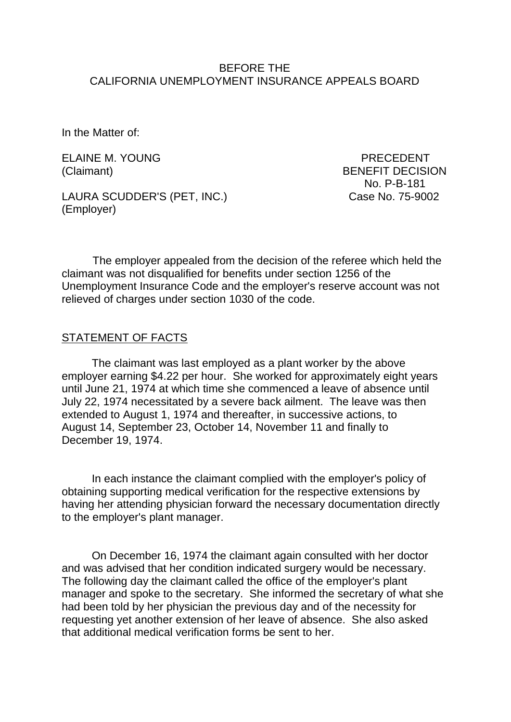#### BEFORE THE CALIFORNIA UNEMPLOYMENT INSURANCE APPEALS BOARD

In the Matter of:

ELAINE M. YOUNG PRECEDENT

LAURA SCUDDER'S (PET, INC.) Case No. 75-9002 (Employer)

(Claimant) BENEFIT DECISION No. P-B-181

The employer appealed from the decision of the referee which held the claimant was not disqualified for benefits under section 1256 of the Unemployment Insurance Code and the employer's reserve account was not relieved of charges under section 1030 of the code.

#### STATEMENT OF FACTS

The claimant was last employed as a plant worker by the above employer earning \$4.22 per hour. She worked for approximately eight years until June 21, 1974 at which time she commenced a leave of absence until July 22, 1974 necessitated by a severe back ailment. The leave was then extended to August 1, 1974 and thereafter, in successive actions, to August 14, September 23, October 14, November 11 and finally to December 19, 1974.

In each instance the claimant complied with the employer's policy of obtaining supporting medical verification for the respective extensions by having her attending physician forward the necessary documentation directly to the employer's plant manager.

On December 16, 1974 the claimant again consulted with her doctor and was advised that her condition indicated surgery would be necessary. The following day the claimant called the office of the employer's plant manager and spoke to the secretary. She informed the secretary of what she had been told by her physician the previous day and of the necessity for requesting yet another extension of her leave of absence. She also asked that additional medical verification forms be sent to her.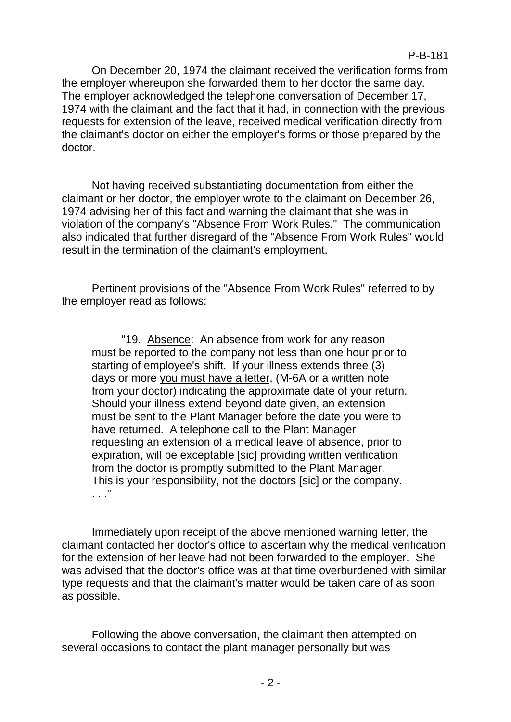On December 20, 1974 the claimant received the verification forms from the employer whereupon she forwarded them to her doctor the same day. The employer acknowledged the telephone conversation of December 17, 1974 with the claimant and the fact that it had, in connection with the previous requests for extension of the leave, received medical verification directly from the claimant's doctor on either the employer's forms or those prepared by the doctor.

P-B-181

Not having received substantiating documentation from either the claimant or her doctor, the employer wrote to the claimant on December 26, 1974 advising her of this fact and warning the claimant that she was in violation of the company's "Absence From Work Rules." The communication also indicated that further disregard of the "Absence From Work Rules" would result in the termination of the claimant's employment.

Pertinent provisions of the "Absence From Work Rules" referred to by the employer read as follows:

"19. Absence: An absence from work for any reason must be reported to the company not less than one hour prior to starting of employee's shift. If your illness extends three (3) days or more you must have a letter, (M-6A or a written note from your doctor) indicating the approximate date of your return. Should your illness extend beyond date given, an extension must be sent to the Plant Manager before the date you were to have returned. A telephone call to the Plant Manager requesting an extension of a medical leave of absence, prior to expiration, will be exceptable [sic] providing written verification from the doctor is promptly submitted to the Plant Manager. This is your responsibility, not the doctors [sic] or the company. . . ."

Immediately upon receipt of the above mentioned warning letter, the claimant contacted her doctor's office to ascertain why the medical verification for the extension of her leave had not been forwarded to the employer. She was advised that the doctor's office was at that time overburdened with similar type requests and that the claimant's matter would be taken care of as soon as possible.

Following the above conversation, the claimant then attempted on several occasions to contact the plant manager personally but was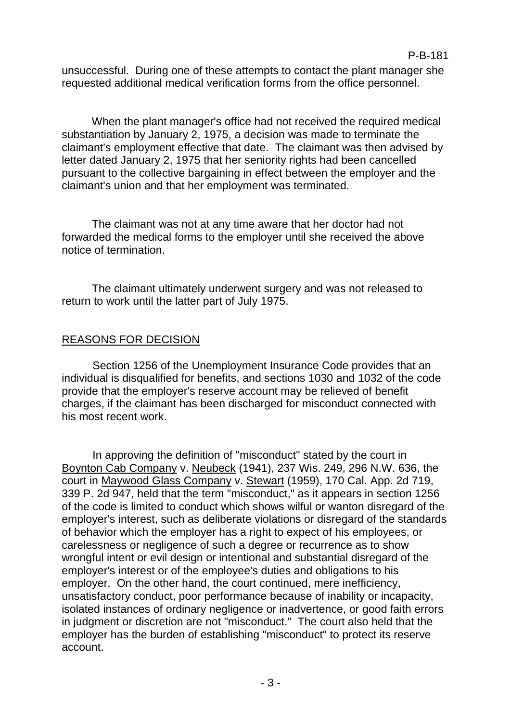unsuccessful. During one of these attempts to contact the plant manager she requested additional medical verification forms from the office personnel.

When the plant manager's office had not received the required medical substantiation by January 2, 1975, a decision was made to terminate the claimant's employment effective that date. The claimant was then advised by letter dated January 2, 1975 that her seniority rights had been cancelled pursuant to the collective bargaining in effect between the employer and the claimant's union and that her employment was terminated.

The claimant was not at any time aware that her doctor had not forwarded the medical forms to the employer until she received the above notice of termination.

The claimant ultimately underwent surgery and was not released to return to work until the latter part of July 1975.

# REASONS FOR DECISION

Section 1256 of the Unemployment Insurance Code provides that an individual is disqualified for benefits, and sections 1030 and 1032 of the code provide that the employer's reserve account may be relieved of benefit charges, if the claimant has been discharged for misconduct connected with his most recent work.

In approving the definition of "misconduct" stated by the court in Boynton Cab Company v. Neubeck (1941), 237 Wis. 249, 296 N.W. 636, the court in Maywood Glass Company v. Stewart (1959), 170 Cal. App. 2d 719, 339 P. 2d 947, held that the term "misconduct," as it appears in section 1256 of the code is limited to conduct which shows wilful or wanton disregard of the employer's interest, such as deliberate violations or disregard of the standards of behavior which the employer has a right to expect of his employees, or carelessness or negligence of such a degree or recurrence as to show wrongful intent or evil design or intentional and substantial disregard of the employer's interest or of the employee's duties and obligations to his employer. On the other hand, the court continued, mere inefficiency, unsatisfactory conduct, poor performance because of inability or incapacity, isolated instances of ordinary negligence or inadvertence, or good faith errors in judgment or discretion are not "misconduct." The court also held that the employer has the burden of establishing "misconduct" to protect its reserve account.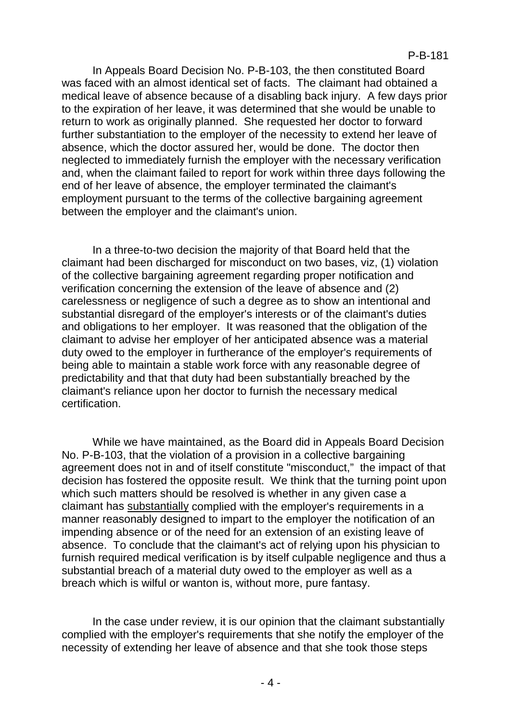In Appeals Board Decision No. P-B-103, the then constituted Board was faced with an almost identical set of facts. The claimant had obtained a medical leave of absence because of a disabling back injury. A few days prior to the expiration of her leave, it was determined that she would be unable to return to work as originally planned. She requested her doctor to forward further substantiation to the employer of the necessity to extend her leave of absence, which the doctor assured her, would be done. The doctor then neglected to immediately furnish the employer with the necessary verification and, when the claimant failed to report for work within three days following the end of her leave of absence, the employer terminated the claimant's employment pursuant to the terms of the collective bargaining agreement between the employer and the claimant's union.

In a three-to-two decision the majority of that Board held that the claimant had been discharged for misconduct on two bases, viz, (1) violation of the collective bargaining agreement regarding proper notification and verification concerning the extension of the leave of absence and (2) carelessness or negligence of such a degree as to show an intentional and substantial disregard of the employer's interests or of the claimant's duties and obligations to her employer. It was reasoned that the obligation of the claimant to advise her employer of her anticipated absence was a material duty owed to the employer in furtherance of the employer's requirements of being able to maintain a stable work force with any reasonable degree of predictability and that that duty had been substantially breached by the claimant's reliance upon her doctor to furnish the necessary medical certification.

While we have maintained, as the Board did in Appeals Board Decision No. P-B-103, that the violation of a provision in a collective bargaining agreement does not in and of itself constitute "misconduct," the impact of that decision has fostered the opposite result. We think that the turning point upon which such matters should be resolved is whether in any given case a claimant has substantially complied with the employer's requirements in a manner reasonably designed to impart to the employer the notification of an impending absence or of the need for an extension of an existing leave of absence. To conclude that the claimant's act of relying upon his physician to furnish required medical verification is by itself culpable negligence and thus a substantial breach of a material duty owed to the employer as well as a breach which is wilful or wanton is, without more, pure fantasy.

In the case under review, it is our opinion that the claimant substantially complied with the employer's requirements that she notify the employer of the necessity of extending her leave of absence and that she took those steps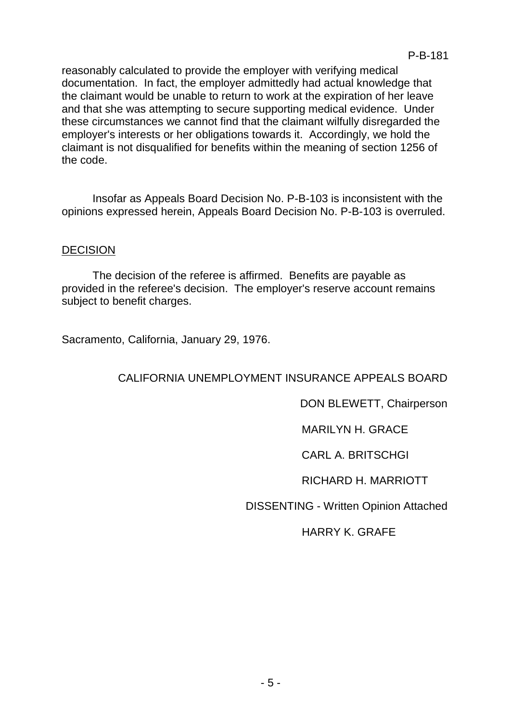reasonably calculated to provide the employer with verifying medical documentation. In fact, the employer admittedly had actual knowledge that the claimant would be unable to return to work at the expiration of her leave and that she was attempting to secure supporting medical evidence. Under these circumstances we cannot find that the claimant wilfully disregarded the employer's interests or her obligations towards it. Accordingly, we hold the claimant is not disqualified for benefits within the meaning of section 1256 of the code.

Insofar as Appeals Board Decision No. P-B-103 is inconsistent with the opinions expressed herein, Appeals Board Decision No. P-B-103 is overruled.

# **DECISION**

The decision of the referee is affirmed. Benefits are payable as provided in the referee's decision. The employer's reserve account remains subject to benefit charges.

Sacramento, California, January 29, 1976.

# CALIFORNIA UNEMPLOYMENT INSURANCE APPEALS BOARD

DON BLEWETT, Chairperson

MARILYN H. GRACE

CARL A. BRITSCHGI

RICHARD H. MARRIOTT

DISSENTING - Written Opinion Attached

HARRY K. GRAFE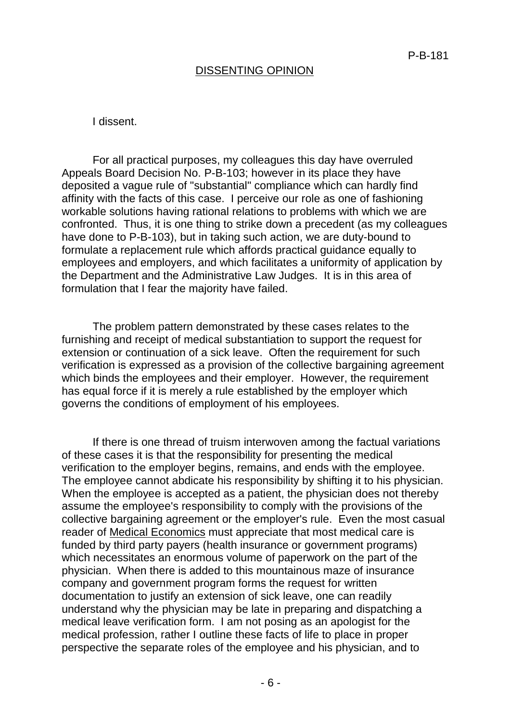### DISSENTING OPINION

#### I dissent.

For all practical purposes, my colleagues this day have overruled Appeals Board Decision No. P-B-103; however in its place they have deposited a vague rule of "substantial" compliance which can hardly find affinity with the facts of this case. I perceive our role as one of fashioning workable solutions having rational relations to problems with which we are confronted. Thus, it is one thing to strike down a precedent (as my colleagues have done to P-B-103), but in taking such action, we are duty-bound to formulate a replacement rule which affords practical guidance equally to employees and employers, and which facilitates a uniformity of application by the Department and the Administrative Law Judges. It is in this area of formulation that I fear the majority have failed.

The problem pattern demonstrated by these cases relates to the furnishing and receipt of medical substantiation to support the request for extension or continuation of a sick leave. Often the requirement for such verification is expressed as a provision of the collective bargaining agreement which binds the employees and their employer. However, the requirement has equal force if it is merely a rule established by the employer which governs the conditions of employment of his employees.

If there is one thread of truism interwoven among the factual variations of these cases it is that the responsibility for presenting the medical verification to the employer begins, remains, and ends with the employee. The employee cannot abdicate his responsibility by shifting it to his physician. When the employee is accepted as a patient, the physician does not thereby assume the employee's responsibility to comply with the provisions of the collective bargaining agreement or the employer's rule. Even the most casual reader of Medical Economics must appreciate that most medical care is funded by third party payers (health insurance or government programs) which necessitates an enormous volume of paperwork on the part of the physician. When there is added to this mountainous maze of insurance company and government program forms the request for written documentation to justify an extension of sick leave, one can readily understand why the physician may be late in preparing and dispatching a medical leave verification form. I am not posing as an apologist for the medical profession, rather I outline these facts of life to place in proper perspective the separate roles of the employee and his physician, and to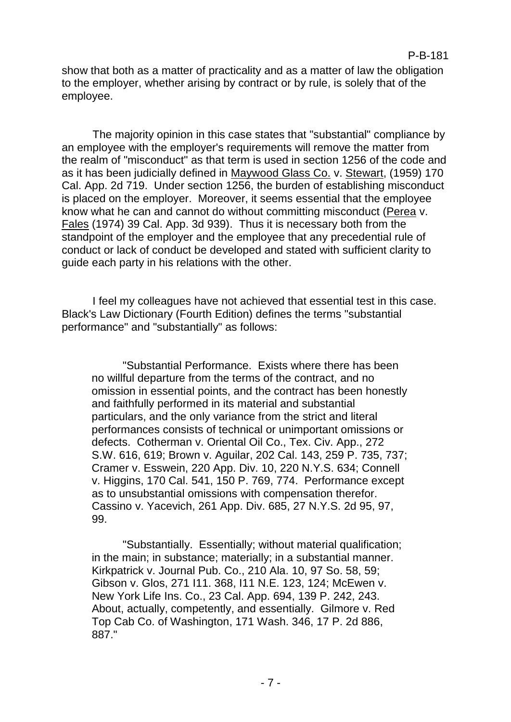# P-B-181

show that both as a matter of practicality and as a matter of law the obligation to the employer, whether arising by contract or by rule, is solely that of the employee.

The majority opinion in this case states that "substantial" compliance by an employee with the employer's requirements will remove the matter from the realm of "misconduct" as that term is used in section 1256 of the code and as it has been judicially defined in Maywood Glass Co. v. Stewart, (1959) 170 Cal. App. 2d 719. Under section 1256, the burden of establishing misconduct is placed on the employer. Moreover, it seems essential that the employee know what he can and cannot do without committing misconduct (Perea v. Fales (1974) 39 Cal. App. 3d 939). Thus it is necessary both from the standpoint of the employer and the employee that any precedential rule of conduct or lack of conduct be developed and stated with sufficient clarity to guide each party in his relations with the other.

I feel my colleagues have not achieved that essential test in this case. Black's Law Dictionary (Fourth Edition) defines the terms "substantial performance" and "substantially" as follows:

"Substantial Performance. Exists where there has been no willful departure from the terms of the contract, and no omission in essential points, and the contract has been honestly and faithfully performed in its material and substantial particulars, and the only variance from the strict and literal performances consists of technical or unimportant omissions or defects. Cotherman v. Oriental Oil Co., Tex. Civ. App., 272 S.W. 616, 619; Brown v. Aguilar, 202 Cal. 143, 259 P. 735, 737; Cramer v. Esswein, 220 App. Div. 10, 220 N.Y.S. 634; Connell v. Higgins, 170 Cal. 541, 150 P. 769, 774. Performance except as to unsubstantial omissions with compensation therefor. Cassino v. Yacevich, 261 App. Div. 685, 27 N.Y.S. 2d 95, 97, 99.

"Substantially. Essentially; without material qualification; in the main; in substance; materially; in a substantial manner. Kirkpatrick v. Journal Pub. Co., 210 Ala. 10, 97 So. 58, 59; Gibson v. Glos, 271 I11. 368, I11 N.E. 123, 124; McEwen v. New York Life Ins. Co., 23 Cal. App. 694, 139 P. 242, 243. About, actually, competently, and essentially. Gilmore v. Red Top Cab Co. of Washington, 171 Wash. 346, 17 P. 2d 886, 887."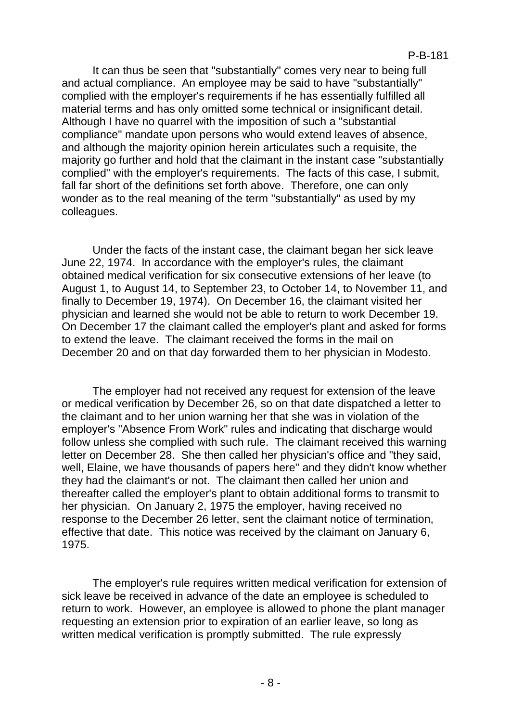It can thus be seen that "substantially" comes very near to being full and actual compliance. An employee may be said to have "substantially" complied with the employer's requirements if he has essentially fulfilled all material terms and has only omitted some technical or insignificant detail. Although I have no quarrel with the imposition of such a "substantial compliance" mandate upon persons who would extend leaves of absence, and although the majority opinion herein articulates such a requisite, the majority go further and hold that the claimant in the instant case "substantially complied" with the employer's requirements. The facts of this case, I submit, fall far short of the definitions set forth above. Therefore, one can only wonder as to the real meaning of the term "substantially" as used by my colleagues.

Under the facts of the instant case, the claimant began her sick leave June 22, 1974. In accordance with the employer's rules, the claimant obtained medical verification for six consecutive extensions of her leave (to August 1, to August 14, to September 23, to October 14, to November 11, and finally to December 19, 1974). On December 16, the claimant visited her physician and learned she would not be able to return to work December 19. On December 17 the claimant called the employer's plant and asked for forms to extend the leave. The claimant received the forms in the mail on December 20 and on that day forwarded them to her physician in Modesto.

The employer had not received any request for extension of the leave or medical verification by December 26, so on that date dispatched a letter to the claimant and to her union warning her that she was in violation of the employer's "Absence From Work" rules and indicating that discharge would follow unless she complied with such rule. The claimant received this warning letter on December 28. She then called her physician's office and "they said, well, Elaine, we have thousands of papers here" and they didn't know whether they had the claimant's or not. The claimant then called her union and thereafter called the employer's plant to obtain additional forms to transmit to her physician. On January 2, 1975 the employer, having received no response to the December 26 letter, sent the claimant notice of termination, effective that date. This notice was received by the claimant on January 6, 1975.

The employer's rule requires written medical verification for extension of sick leave be received in advance of the date an employee is scheduled to return to work. However, an employee is allowed to phone the plant manager requesting an extension prior to expiration of an earlier leave, so long as written medical verification is promptly submitted. The rule expressly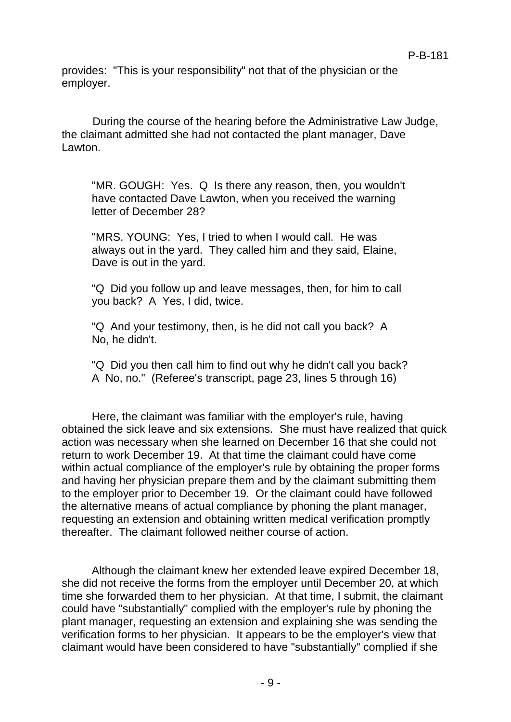provides: "This is your responsibility" not that of the physician or the employer.

During the course of the hearing before the Administrative Law Judge, the claimant admitted she had not contacted the plant manager, Dave Lawton.

"MR. GOUGH: Yes. Q Is there any reason, then, you wouldn't have contacted Dave Lawton, when you received the warning letter of December 28?

"MRS. YOUNG: Yes, I tried to when I would call. He was always out in the yard. They called him and they said, Elaine, Dave is out in the yard.

"Q Did you follow up and leave messages, then, for him to call you back? A Yes, I did, twice.

"Q And your testimony, then, is he did not call you back? A No, he didn't.

"Q Did you then call him to find out why he didn't call you back? A No, no." (Referee's transcript, page 23, lines 5 through 16)

Here, the claimant was familiar with the employer's rule, having obtained the sick leave and six extensions. She must have realized that quick action was necessary when she learned on December 16 that she could not return to work December 19. At that time the claimant could have come within actual compliance of the employer's rule by obtaining the proper forms and having her physician prepare them and by the claimant submitting them to the employer prior to December 19. Or the claimant could have followed the alternative means of actual compliance by phoning the plant manager, requesting an extension and obtaining written medical verification promptly thereafter. The claimant followed neither course of action.

Although the claimant knew her extended leave expired December 18, she did not receive the forms from the employer until December 20, at which time she forwarded them to her physician. At that time, I submit, the claimant could have "substantially" complied with the employer's rule by phoning the plant manager, requesting an extension and explaining she was sending the verification forms to her physician. It appears to be the employer's view that claimant would have been considered to have "substantially" complied if she